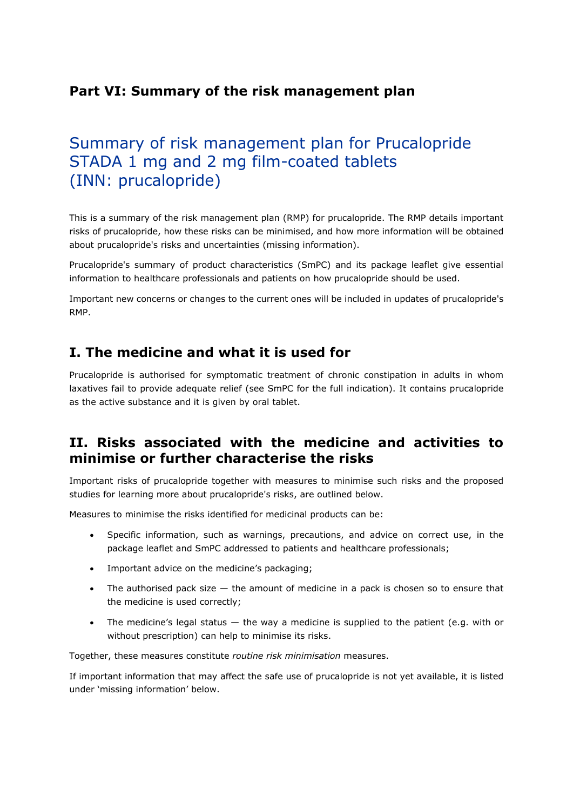# **Part VI: Summary of the risk management plan**

# Summary of risk management plan for Prucalopride STADA 1 mg and 2 mg film-coated tablets (INN: prucalopride)

This is a summary of the risk management plan (RMP) for prucalopride. The RMP details important risks of prucalopride, how these risks can be minimised, and how more information will be obtained about prucalopride's risks and uncertainties (missing information).

Prucalopride's summary of product characteristics (SmPC) and its package leaflet give essential information to healthcare professionals and patients on how prucalopride should be used.

Important new concerns or changes to the current ones will be included in updates of prucalopride's RMP.

# **I. The medicine and what it is used for**

Prucalopride is authorised for symptomatic treatment of chronic constipation in adults in whom laxatives fail to provide adequate relief (see SmPC for the full indication). It contains prucalopride as the active substance and it is given by oral tablet.

# **II. Risks associated with the medicine and activities to minimise or further characterise the risks**

Important risks of prucalopride together with measures to minimise such risks and the proposed studies for learning more about prucalopride's risks, are outlined below.

Measures to minimise the risks identified for medicinal products can be:

- Specific information, such as warnings, precautions, and advice on correct use, in the package leaflet and SmPC addressed to patients and healthcare professionals;
- Important advice on the medicine's packaging;
- The authorised pack size  $-$  the amount of medicine in a pack is chosen so to ensure that the medicine is used correctly;
- The medicine's legal status the way a medicine is supplied to the patient (e.g. with or without prescription) can help to minimise its risks.

Together, these measures constitute *routine risk minimisation* measures.

If important information that may affect the safe use of prucalopride is not yet available, it is listed under 'missing information' below.